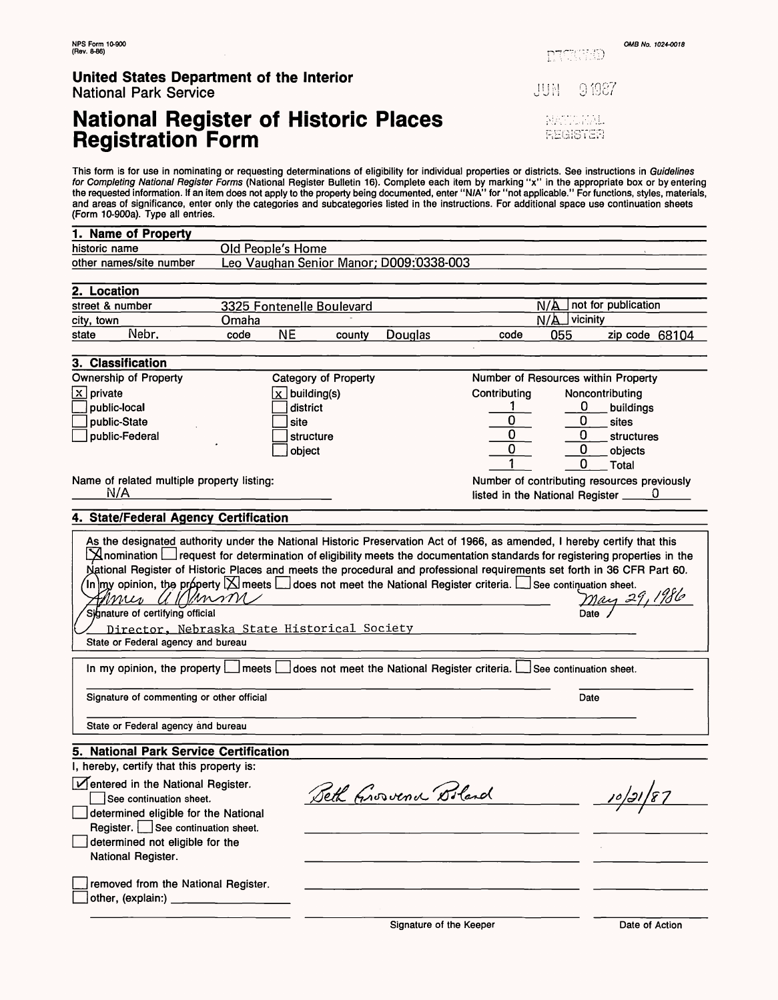**PECHED** 

# **United States Department of the Interior**

National Park Service

# **National Register of Historic Places Registration Form**

 $91987$ **HUL** 

> NATIONAL **REGISTER**

This form is for use in nominating or requesting determinations of eligibility for individual properties or districts. See instructions in *Guidelines*<br>*for Completing National Register Forms* (National Register Bulletin 1 the requested information. If an item does not apply to the property being documented, enter "N/A" for "not applicable." For functions, styles, materials, and areas of significance, enter only the categories and subcategories listed in the instructions. For additional space use continuation sheets (Form 10-900a). Type all entries.

| 1. Name of Property                                                                                                                                                                                                                                                                                                                                                                                                                                                                                                                                                                                                                                                                                                    |                           |                             |        |                                         |              |                            |                                                              |  |
|------------------------------------------------------------------------------------------------------------------------------------------------------------------------------------------------------------------------------------------------------------------------------------------------------------------------------------------------------------------------------------------------------------------------------------------------------------------------------------------------------------------------------------------------------------------------------------------------------------------------------------------------------------------------------------------------------------------------|---------------------------|-----------------------------|--------|-----------------------------------------|--------------|----------------------------|--------------------------------------------------------------|--|
| historic name<br>Old People's Home                                                                                                                                                                                                                                                                                                                                                                                                                                                                                                                                                                                                                                                                                     |                           |                             |        |                                         |              |                            |                                                              |  |
| other names/site number                                                                                                                                                                                                                                                                                                                                                                                                                                                                                                                                                                                                                                                                                                |                           |                             |        | Leo Vaughan Senior Manor; D009:0338-003 |              |                            |                                                              |  |
|                                                                                                                                                                                                                                                                                                                                                                                                                                                                                                                                                                                                                                                                                                                        |                           |                             |        |                                         |              |                            |                                                              |  |
| 2. Location                                                                                                                                                                                                                                                                                                                                                                                                                                                                                                                                                                                                                                                                                                            |                           |                             |        |                                         |              |                            |                                                              |  |
| street & number                                                                                                                                                                                                                                                                                                                                                                                                                                                                                                                                                                                                                                                                                                        | 3325 Fontenelle Boulevard |                             |        |                                         |              | not for publication<br>N/A |                                                              |  |
| city, town                                                                                                                                                                                                                                                                                                                                                                                                                                                                                                                                                                                                                                                                                                             | Omaha                     |                             |        |                                         |              | N/A<br>vicinity            |                                                              |  |
| Nebr.<br>state                                                                                                                                                                                                                                                                                                                                                                                                                                                                                                                                                                                                                                                                                                         | code                      | <b>NE</b>                   | county | Douglas                                 | code         | 055                        | zip code 68104                                               |  |
| 3. Classification                                                                                                                                                                                                                                                                                                                                                                                                                                                                                                                                                                                                                                                                                                      |                           |                             |        |                                         |              |                            |                                                              |  |
| Ownership of Property                                                                                                                                                                                                                                                                                                                                                                                                                                                                                                                                                                                                                                                                                                  |                           | <b>Category of Property</b> |        |                                         |              |                            | Number of Resources within Property                          |  |
| $x$ private                                                                                                                                                                                                                                                                                                                                                                                                                                                                                                                                                                                                                                                                                                            |                           | $\sqrt{X}$ building(s)      |        |                                         | Contributing |                            | Noncontributing                                              |  |
| public-local                                                                                                                                                                                                                                                                                                                                                                                                                                                                                                                                                                                                                                                                                                           |                           | district                    |        |                                         |              | 0                          | buildings                                                    |  |
| public-State                                                                                                                                                                                                                                                                                                                                                                                                                                                                                                                                                                                                                                                                                                           |                           | site                        |        |                                         | 0            | 0                          | sites                                                        |  |
| public-Federal                                                                                                                                                                                                                                                                                                                                                                                                                                                                                                                                                                                                                                                                                                         |                           | structure                   |        |                                         | 0            | $\bf{0}$                   | structures                                                   |  |
|                                                                                                                                                                                                                                                                                                                                                                                                                                                                                                                                                                                                                                                                                                                        |                           | object                      |        |                                         | 0            | 0                          | objects                                                      |  |
|                                                                                                                                                                                                                                                                                                                                                                                                                                                                                                                                                                                                                                                                                                                        |                           |                             |        |                                         |              | 0                          | Total                                                        |  |
| Name of related multiple property listing:                                                                                                                                                                                                                                                                                                                                                                                                                                                                                                                                                                                                                                                                             |                           |                             |        |                                         |              |                            | Number of contributing resources previously                  |  |
| N/A                                                                                                                                                                                                                                                                                                                                                                                                                                                                                                                                                                                                                                                                                                                    |                           |                             |        |                                         |              |                            | listed in the National Register $\underline{\hspace{1cm}} 0$ |  |
|                                                                                                                                                                                                                                                                                                                                                                                                                                                                                                                                                                                                                                                                                                                        |                           |                             |        |                                         |              |                            |                                                              |  |
| 4. State/Federal Agency Certification                                                                                                                                                                                                                                                                                                                                                                                                                                                                                                                                                                                                                                                                                  |                           |                             |        |                                         |              |                            |                                                              |  |
| As the designated authority under the National Historic Preservation Act of 1966, as amended, I hereby certify that this<br>$\Delta$ nomination $\Box$ request for determination of eligibility meets the documentation standards for registering properties in the<br>National Register of Historic Places and meets the procedural and professional requirements set forth in 36 CFR Part 60.<br>In $ $ my opinion, the property $ \times $ meets $ \_\text{does}$ not meet the National Register criteria. $ \_\text{see}$ continuation sheet.<br><u>May 29, 1986</u><br>Kanson<br>Annes U<br>Signature of certifying official<br>Director, Nebraska State Historical Society<br>State or Federal agency and bureau |                           |                             |        |                                         |              |                            |                                                              |  |
| In my opinion, the property $\Box$ meets $\Box$ does not meet the National Register criteria. $\Box$ See continuation sheet.                                                                                                                                                                                                                                                                                                                                                                                                                                                                                                                                                                                           |                           |                             |        |                                         |              |                            |                                                              |  |
| Signature of commenting or other official                                                                                                                                                                                                                                                                                                                                                                                                                                                                                                                                                                                                                                                                              |                           |                             |        |                                         |              | Date                       |                                                              |  |
| State or Federal agency and bureau                                                                                                                                                                                                                                                                                                                                                                                                                                                                                                                                                                                                                                                                                     |                           |                             |        |                                         |              |                            |                                                              |  |
| 5. National Park Service Certification                                                                                                                                                                                                                                                                                                                                                                                                                                                                                                                                                                                                                                                                                 |                           |                             |        |                                         |              |                            |                                                              |  |
| I, hereby, certify that this property is:                                                                                                                                                                                                                                                                                                                                                                                                                                                                                                                                                                                                                                                                              |                           |                             |        |                                         |              |                            |                                                              |  |
| Ventered in the National Register.<br>See continuation sheet.<br>determined eligible for the National                                                                                                                                                                                                                                                                                                                                                                                                                                                                                                                                                                                                                  |                           |                             |        | Seth Grovena Boland                     |              |                            |                                                              |  |
| Register. See continuation sheet.<br>determined not eligible for the                                                                                                                                                                                                                                                                                                                                                                                                                                                                                                                                                                                                                                                   |                           |                             |        |                                         |              |                            |                                                              |  |
| National Register.                                                                                                                                                                                                                                                                                                                                                                                                                                                                                                                                                                                                                                                                                                     |                           |                             |        |                                         |              |                            |                                                              |  |
| removed from the National Register.                                                                                                                                                                                                                                                                                                                                                                                                                                                                                                                                                                                                                                                                                    |                           |                             |        |                                         |              |                            |                                                              |  |

Signature of the Keeper Date of Action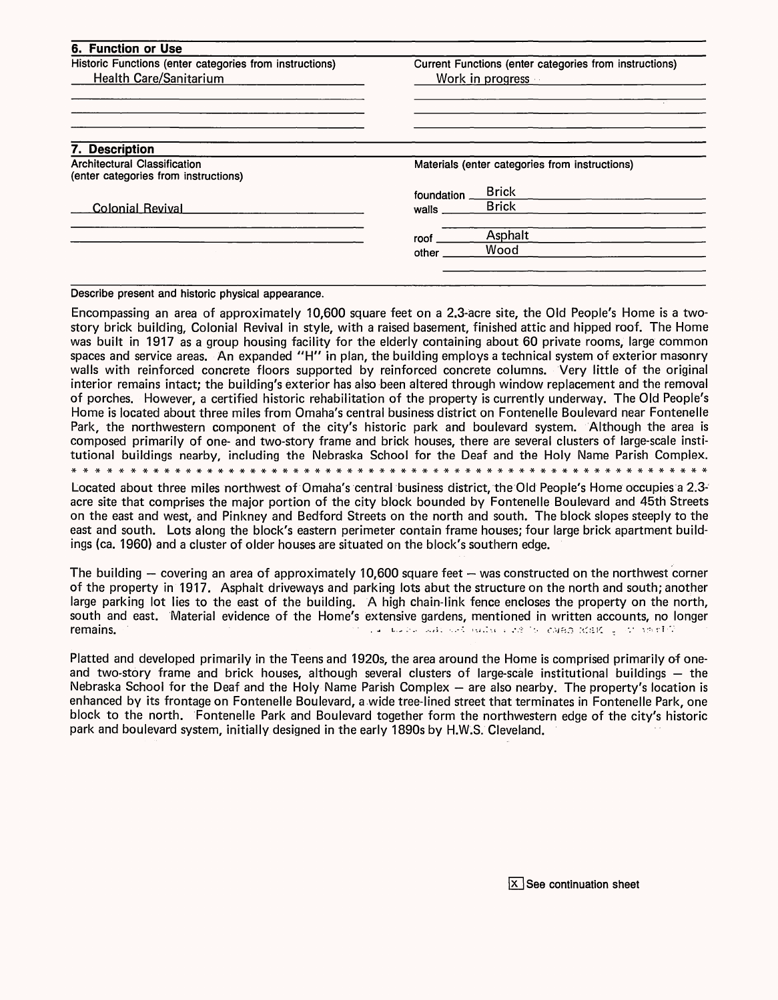| Current Functions (enter categories from instructions)<br>Work in progress on |                                                |  |  |
|-------------------------------------------------------------------------------|------------------------------------------------|--|--|
|                                                                               |                                                |  |  |
|                                                                               |                                                |  |  |
|                                                                               | Materials (enter categories from instructions) |  |  |
|                                                                               | <b>Brick</b>                                   |  |  |
| walls                                                                         | <b>Brick</b>                                   |  |  |
| roof .                                                                        | Asphalt                                        |  |  |
| other                                                                         | Wood                                           |  |  |
|                                                                               | foundation                                     |  |  |

Describe present and historic physical appearance.

Encompassing an area of approximately 10,600 square feet on a 2.3-acre site, the Old People's Home is a twostory brick building, Colonial Revival in style, with a raised basement, finished attic and hipped roof. The Home was built in 1917 as a group housing facility for the elderly containing about 60 private rooms, large common spaces and service areas. An expanded "H" in plan, the building employs a technical system of exterior masonry walls with reinforced concrete floors supported by reinforced concrete columns. Very little of the original interior remains intact; the building's exterior has also been altered through window replacement and the removal of porches. However, a certified historic rehabilitation of the property is currently underway. The Old People's Home is located about three miles from Omaha's central business district on Fontenelle Boulevard near Fontenelle Park, the northwestern component of the city's historic park and boulevard system. Although the area is composed primarily of one- and two-story frame and brick houses, there are several clusters of large-scale institutional buildings nearby, including the Nebraska School for the Deaf and the Holy Name Parish Complex. \*\*\*\*#\*###\*\*\*#\*\*##\*###\*#\*##\*\*\*#\*\*\*###\*\*#\*\*\*\*#\*\*#\*\*\*\*\*#\*\*#\*\*#

Located about three miles northwest of Omaha's central business district, the Old People's Home occupies a 2.3 acre site that comprises the major portion of the city block bounded by Fontenelle Boulevard and 45th Streets on the east and west, and Pinkney and Bedford Streets on the north and south. The block slopes steeply to the east and south. Lots along the block's eastern perimeter contain frame houses; four large brick apartment buildings (ca. 1960) and a cluster of older houses are situated on the block's southern edge.

The building  $-$  covering an area of approximately 10,600 square feet  $-$  was constructed on the northwest corner of the property in 1917. Asphalt driveways and parking lots abut the structure on the north and south; another large parking lot lies to the east of the building. A high chain-link fence encloses the property on the north, south and east. Material evidence of the Home's extensive gardens, mentioned in written accounts, no longer remains. - ^ - - ...,;. *•..--.* ,«.:-., . .-.-? -..

Platted and developed primarily in the Teens and 1920s, the area around the Home is comprised primarily of oneand two-story frame and brick houses, although several clusters of large-scale institutional buildings  $-$  the Nebraska School for the Deaf and the Holy Name Parish Complex - are also nearby. The property's location is enhanced by its frontage on Fontenelle Boulevard, a wide tree-lined street that terminates in Fontenelle Park, one block to the north. Fontenelle Park and Boulevard together form the northwestern edge of the city's historic park and boulevard system, initially designed in the early 1890s by H.W.S. Cleveland.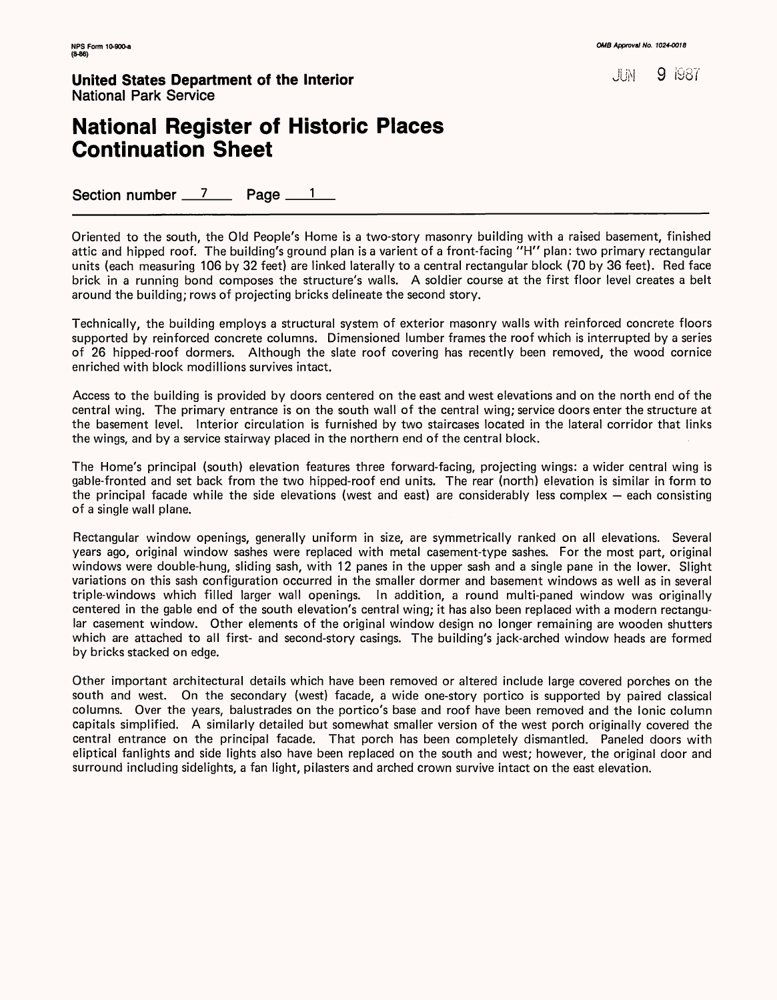**United States Department of the Interior** *b* **and <b>a state of the Interior 10 <b>1987** National Park Service

### **National Register of Historic Places Continuation Sheet**

Section number  $\frac{7}{2}$  Page  $\frac{1}{2}$ 

Oriented to the south, the Old People's Home is a two-story masonry building with a raised basement, finished attic and hipped roof. The building's ground plan is a varient of a front-facing "H" plan: two primary rectangular units (each measuring 106 by 32 feet) are linked laterally to a central rectangular block (70 by 36 feet). Red face brick in a running bond composes the structure's walls. A soldier course at the first floor level creates a belt around the building; rows of projecting bricks delineate the second story.

Technically, the building employs a structural system of exterior masonry walls with reinforced concrete floors supported by reinforced concrete columns. Dimensioned lumber frames the roof which is interrupted by a series of 26 hipped-roof dormers. Although the slate roof covering has recently been removed, the wood cornice enriched with block modillions survives intact.

Access to the building is provided by doors centered on the east and west elevations and on the north end of the central wing. The primary entrance is on the south wall of the central wing; service doors enter the structure at the basement level. Interior circulation is furnished by two staircases located in the lateral corridor that links the wings, and by a service stairway placed in the northern end of the central block.

The Home's principal (south) elevation features three forward-facing, projecting wings: a wider central wing is gable-fronted and set back from the two hipped-roof end units. The rear (north) elevation is similar in form to the principal facade while the side elevations (west and east) are considerably less complex  $-$  each consisting of a single wall plane.

Rectangular window openings, generally uniform in size, are symmetrically ranked on all elevations. Several years ago, original window sashes were replaced with metal casement-type sashes. For the most part, original windows were double-hung, sliding sash, with 12 panes in the upper sash and a single pane in the lower. Slight variations on this sash configuration occurred in the smaller dormer and basement windows as well as in several triple-windows which filled larger wall openings. In addition, a round multi-paned window was originally centered in the gable end of the south elevation's central wing; it has also been replaced with a modern rectangular casement window. Other elements of the original window design no longer remaining are wooden shutters which are attached to all first- and second-story casings. The building's jack-arched window heads are formed by bricks stacked on edge.

Other important architectural details which have been removed or altered include large covered porches on the south and west. On the secondary (west) facade, a wide one-story portico is supported by paired classical columns. Over the years, balustrades on the portico's base and roof have been removed and the Ionic column capitals simplified. A similarly detailed but somewhat smaller version of the west porch originally covered the central entrance on the principal facade. That porch has been completely dismantled. Paneled doors with eliptical fanlights and side lights also have been replaced on the south and west; however, the original door and surround including sidelights, a fan light, pilasters and arched crown survive intact on the east elevation.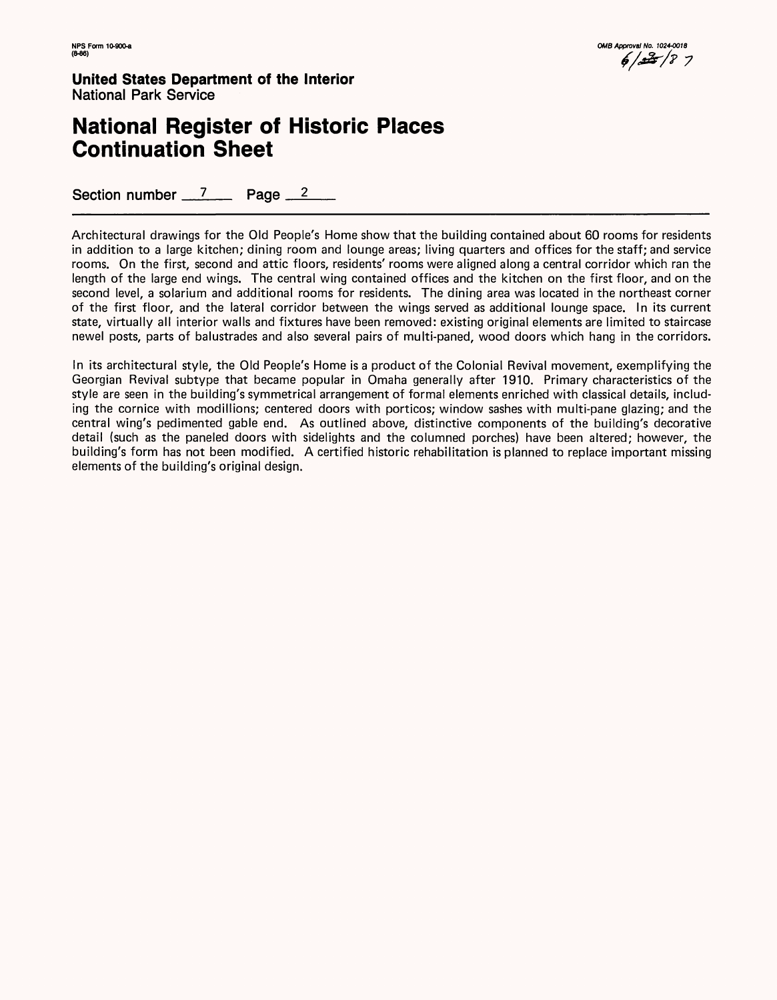**United States Department cf the Interior** National Park Service

### **National Register of Historic Places Continuation Sheet**

Section number 7 Page 2

Architectural drawings for the Old People's Home show that the building contained about 60 rooms for residents in addition to a large kitchen; dining room and lounge areas; living quarters and offices for the staff; and service rooms. On the first, second and attic floors, residents' rooms were aligned along a central corridor which ran the length of the large end wings. The central wing contained offices and the kitchen on the first floor, and on the second level, a solarium and additional rooms for residents. The dining area was located in the northeast corner of the first floor, and the lateral corridor between the wings served as additional lounge space. In its current state, virtually all interior walls and fixtures have been removed: existing original elements are limited to staircase newel posts, parts of balustrades and also several pairs of multi-paned, wood doors which hang in the corridors.

In its architectural style, the Old People's Home is a product of the Colonial Revival movement, exemplifying the Georgian Revival subtype that became popular in Omaha generally after 1910. Primary characteristics of the style are seen in the building's symmetrical arrangement of formal elements enriched with classical details, including the cornice with modillions; centered doors with porticos; window sashes with multi-pane glazing; and the central wing's pedimented gable end. As outlined above, distinctive components of the building's decorative detail (such as the paneled doors with sidelights and the columned porches) have been altered; however, the building's form has not been modified. A certified historic rehabilitation is planned to replace important missing elements of the building's original design.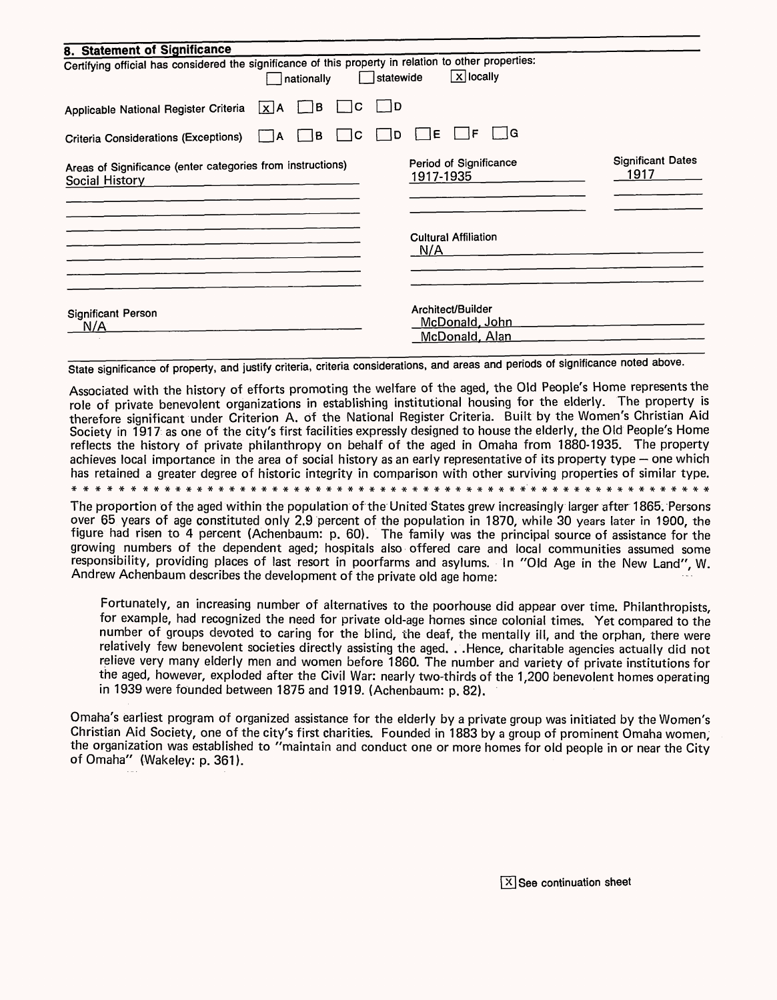| 8. Statement of Significance                                                                                        |                                                       |                                  |
|---------------------------------------------------------------------------------------------------------------------|-------------------------------------------------------|----------------------------------|
| Certifying official has considered the significance of this property in relation to other properties:<br>nationally | $\sqrt{X}$ locally<br>  statewide                     |                                  |
| ÌΒ.<br>١C<br>Applicable National Register Criteria<br>$\lfloor x \rfloor$ A                                         | ם ו                                                   |                                  |
| C<br>IB.<br>١A<br><b>Criteria Considerations (Exceptions)</b>                                                       | ١G<br>F<br>١E<br>D                                    |                                  |
| Areas of Significance (enter categories from instructions)<br><b>Social History</b>                                 | Period of Significance<br>1917-1935                   | <b>Significant Dates</b><br>1917 |
|                                                                                                                     | <b>Cultural Affiliation</b><br>N/A                    |                                  |
| <b>Significant Person</b><br>N/A                                                                                    | Architect/Builder<br>McDonald, John<br>McDonald, Alan |                                  |

State significance of property, and justify criteria, criteria considerations, and areas and periods of significance noted above.

Associated with the history of efforts promoting the welfare of the aged, the Old People's Home represents the role of private benevolent organizations in establishing institutional housing for the elderly. The property is therefore significant under Criterion A. of the National Register Criteria. Built by the Women's Christian Aid Society in 1917 as one of the city's first facilities expressly designed to house the elderly, the Old People's Home reflects the history of private philanthropy on behalf of the aged in Omaha from 1880-1935. The property achieves local importance in the area of social history as an early representative of its property type – one which has retained a greater degree of historic integrity in comparison with other surviving properties of similar type.

\* \* \* \* \* \* \*\*####\*\*\*#\*#\*#####\*#\* \*####\*\*\*#\*#\*\*\*\*\*\*\*\*\*\*\*\*\*\*\*\*\*\* \*\*\*

The proportion of the aged within the population of the United States grew increasingly larger after 1865. Persons over 65 years of age constituted only 2.9 percent of the population in 1870, while 30 years later in 1900, the figure had risen to 4 percent (Achenbaum: p. 60). The family was the principal source of assistance for the growing numbers of the dependent aged; hospitals also offered care and local communities assumed some responsibility, providing places of last resort in poorfarms and asylums. In "Old Age in the New Land", W. Andrew Achenbaum describes the development of the private old age home:

Fortunately, an increasing number of alternatives to the poorhouse did appear over time. Philanthropists, for example, had recognized the need for private old-age homes since colonial times. Yet compared to the number of groups devoted to caring for the blind, the deaf, the mentally ill, and the orphan, there were relatively few benevolent societies directly assisting the aged. . .Hence, charitable agencies actually did not relieve very many elderly men and women before 1860. The number and variety of private institutions for the aged, however, exploded after the Civil War: nearly two-thirds of the 1,200 benevolent homes operating in 1939 were founded between 1875 and 1919. (Achenbaum: p. 82).

Omaha's earliest program of organized assistance for the elderly by a private group was initiated by the Women's Christian Aid Society, one of the city's first charities. Founded in 1883 by a group of prominent Omaha women, the organization was established to "maintain and conduct one or more homes for old people in or near the City of Omaha" (Wakeley: p. 361).

 $|\overline{X}|$  See continuation sheet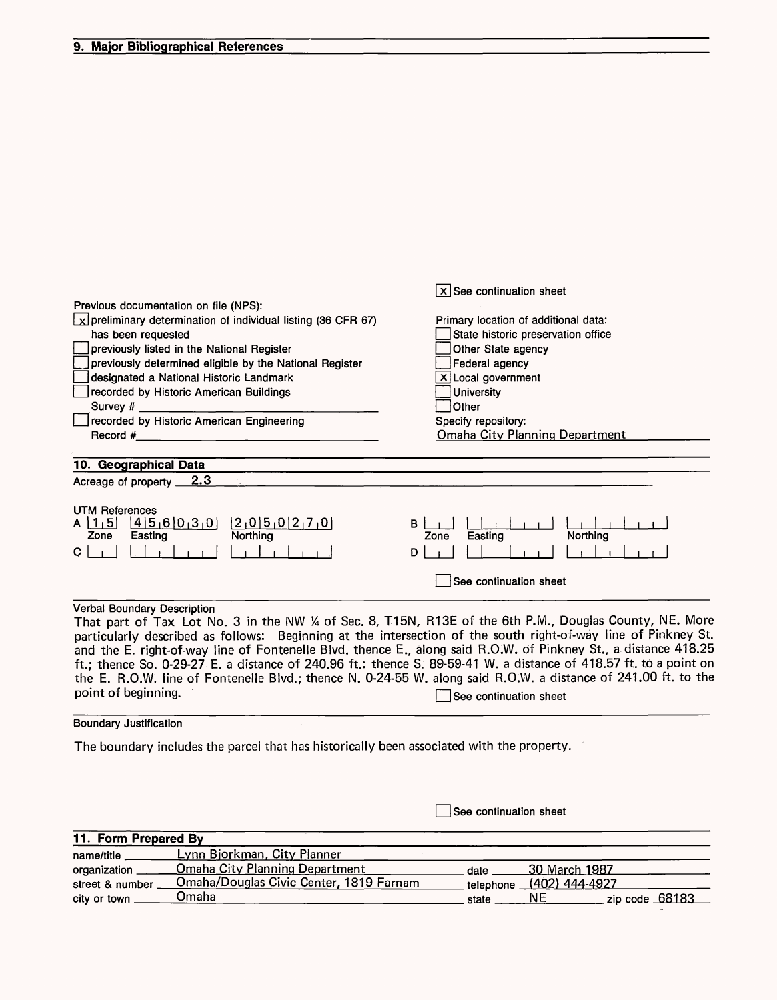#### **9. Major Bibliographical References**

|                                                                                                                 | $x$ See continuation sheet            |
|-----------------------------------------------------------------------------------------------------------------|---------------------------------------|
| Previous documentation on file (NPS):                                                                           |                                       |
| $\lfloor x \rfloor$ preliminary determination of individual listing (36 CFR 67)                                 | Primary location of additional data:  |
| has been requested                                                                                              | State historic preservation office    |
| previously listed in the National Register                                                                      | Other State agency                    |
| previously determined eligible by the National Register                                                         | Federal agency                        |
| designated a National Historic Landmark                                                                         | $x$ Local government                  |
| recorded by Historic American Buildings                                                                         | <b>University</b>                     |
|                                                                                                                 | Other                                 |
| recorded by Historic American Engineering                                                                       | Specify repository:                   |
|                                                                                                                 | <b>Omaha City Planning Department</b> |
|                                                                                                                 |                                       |
| 10. Geographical Data                                                                                           |                                       |
| <u>2.3</u><br>Acreage of property __                                                                            |                                       |
|                                                                                                                 |                                       |
| UTM References                                                                                                  |                                       |
| [2,0]5,0[2,7,0]<br>$A \left[ 1, 5 \right] \left[ 4 \left[ 5, 6 \right] 0, 3, 0 \right]$                         | B                                     |
| Northing<br>Easting<br>Zone                                                                                     | Northing<br>Easting<br>Zone           |
| C.                                                                                                              | D                                     |
|                                                                                                                 | See continuation sheet                |
|                                                                                                                 |                                       |
| <b>Verbal Boundary Description</b>                                                                              |                                       |
| That part of Tax Lot No. 3 in the NW 1/4 of Sec. 8, T15N, R13E of the 6th P.M., Douglas County, NE. More        |                                       |
| particularly described as follows: Beginning at the intersection of the south right-of-way line of Pinkney St.  |                                       |
| and the E. right-of-way line of Fontenelle Blvd. thence E., along said R.O.W. of Pinkney St., a distance 418.25 |                                       |

ft.; thence So. 0-29-27 E. a distance of 240.96 ft.: thence S. 89-59-41 W. a distance of 418.57 ft. to a point on the E. R.O.W. line of Fontenelle Blvd.; thence N. 0-24-55 W. along said R.O.W. a distance of 241.00 ft. to the point of beginning.<br>D See continuation sheet

#### Boundary Justification

The boundary includes the parcel that has historically been associated with the property.

 $\Box$  See continuation sheet

| 11. Form Prepared By |                                         |       |                                 |                  |  |
|----------------------|-----------------------------------------|-------|---------------------------------|------------------|--|
| name/title           | Lynn Bjorkman, City Planner             |       |                                 |                  |  |
| organization         | <b>Omaha City Planning Department</b>   | date  | 30 March 1987                   |                  |  |
| street & number      | Omaha/Douglas Civic Center, 1819 Farnam |       | telephone <u>(402) 444-4927</u> |                  |  |
| city or town         | Omaha                                   | state | NF                              | zip code $68183$ |  |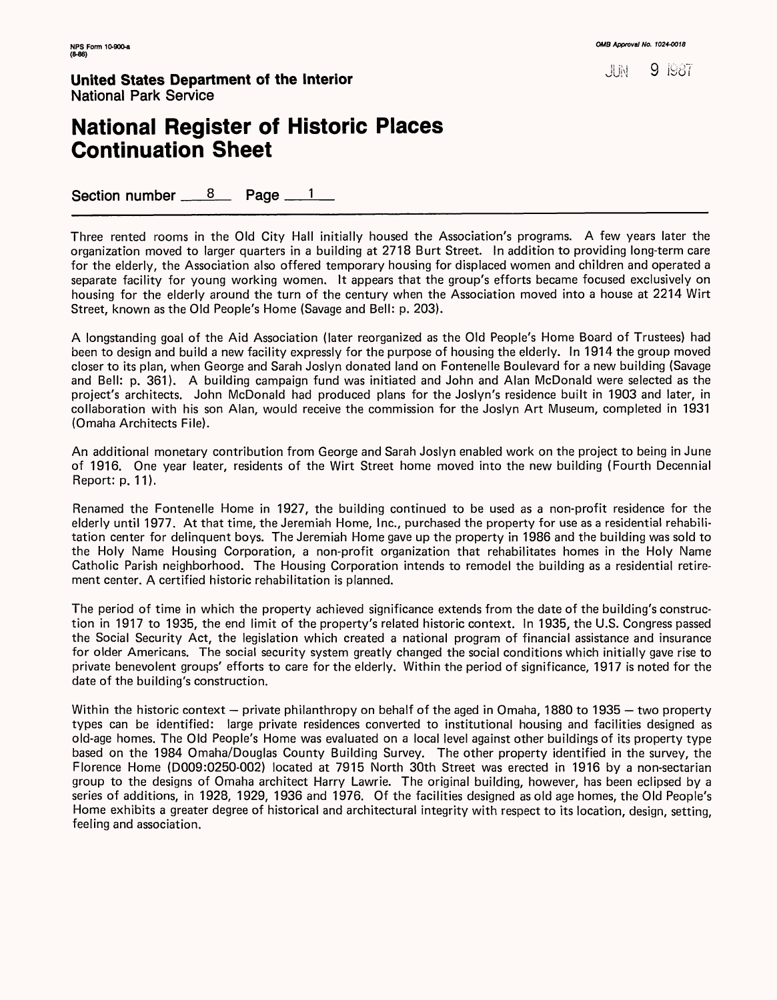训训

9 I98/'

**United States Department of the Interior** National Park Service

### **National Register of Historic Places Continuation Sheet**

Section number  $8$  Page  $1$ 

Three rented rooms in the Old City Hall initially housed the Association's programs. A few years later the organization moved to larger quarters in a building at 2718 Burt Street. In addition to providing long-term care for the elderly, the Association also offered temporary housing for displaced women and children and operated a separate facility for young working women. It appears that the group's efforts became focused exclusively on housing for the elderly around the turn of the century when the Association moved into a house at 2214 Wirt Street, known as the Old People's Home (Savage and Bell: p. 203).

A longstanding goal of the Aid Association (later reorganized as the Old People's Home Board of Trustees) had been to design and build a new facility expressly for the purpose of housing the elderly. In 1914 the group moved closer to its plan, when George and Sarah Joslyn donated land on Fontenelle Boulevard for a new building (Savage and Bell: p. 361). A building campaign fund was initiated and John and Alan McDonald were selected as the project's architects. John McDonald had produced plans for the Joslyn's residence built in 1903 and later, in collaboration with his son Alan, would receive the commission for the Joslyn Art Museum, completed in 1931 (Omaha Architects File).

An additional monetary contribution from George and Sarah Joslyn enabled work on the project to being in June of 1916. One year leater, residents of the Wirt Street home moved into the new building (Fourth Decennial Report: p. 11).

Renamed the Fontenelle Home in 1927, the building continued to be used as a non-profit residence for the elderly until 1977. At that time, the Jeremiah Home, Inc., purchased the property for use as a residential rehabilitation center for delinquent boys. The Jeremiah Home gave up the property in 1986 and the building was sold to the Holy Name Housing Corporation, a non-profit organization that rehabilitates homes in the Holy Name Catholic Parish neighborhood. The Housing Corporation intends to remodel the building as a residential retirement center. A certified historic rehabilitation is planned.

The period of time in which the property achieved significance extends from the date of the building's construction in 1917 to 1935, the end limit of the property's related historic context. In 1935, the U.S. Congress passed the Social Security Act, the legislation which created a national program of financial assistance and insurance for older Americans. The social security system greatly changed the social conditions which initially gave rise to private benevolent groups' efforts to care for the elderly. Within the period of significance, 1917 is noted for the date of the building's construction.

Within the historic context  $-$  private philanthropy on behalf of the aged in Omaha, 1880 to 1935  $-$  two property types can be identified: large private residences converted to institutional housing and facilities designed as old-age homes. The Old People's Home was evaluated on a local level against other buildings of its property type based on the 1984 Omaha/Douglas County Building Survey. The other property identified in the survey, the Florence Home (0009:0250-002) located at 7915 North 30th Street was erected in 1916 by a non-sectarian group to the designs of Omaha architect Harry Lawrie. The original building, however, has been eclipsed by a series of additions, in 1928, 1929, 1936 and 1976. Of the facilities designed as old age homes, the Old People's Home exhibits a greater degree of historical and architectural integrity with respect to its location, design, setting, feeling and association.